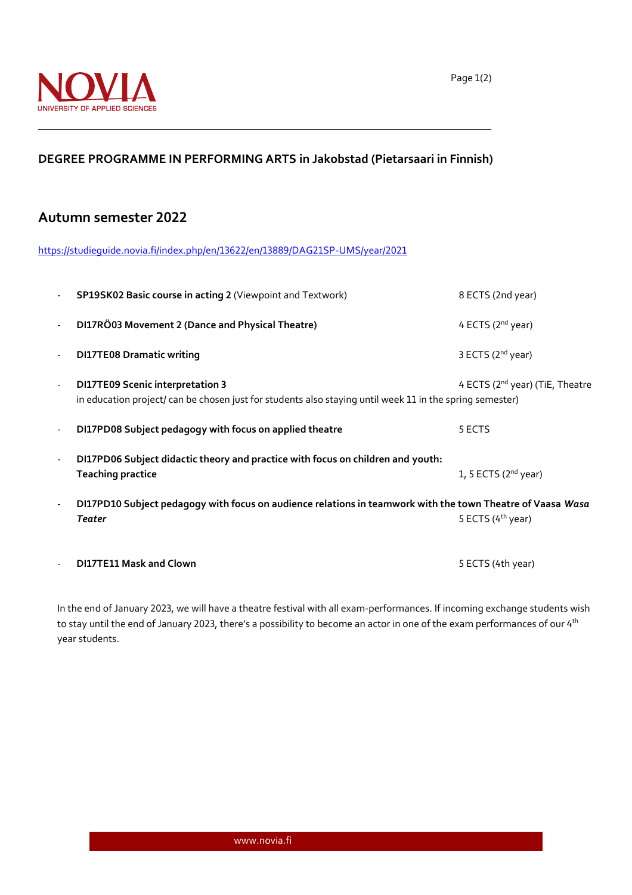

## **DEGREE PROGRAMME IN PERFORMING ARTS in Jakobstad (Pietarsaari in Finnish)**

## **Autumn semester 2022**

<https://studieguide.novia.fi/index.php/en/13622/en/13889/DAG21SP-UMS/year/2021>

|                          | SP19SK02 Basic course in acting 2 (Viewpoint and Textwork)                                                                                          | 8 ECTS (2nd year)                           |
|--------------------------|-----------------------------------------------------------------------------------------------------------------------------------------------------|---------------------------------------------|
|                          | DI17RÖ03 Movement 2 (Dance and Physical Theatre)                                                                                                    | 4 ECTS (2 <sup>nd</sup> year)               |
|                          | <b>DI17TE08 Dramatic writing</b>                                                                                                                    | 3 ECTS (2 <sup>nd</sup> year)               |
| $\overline{\phantom{a}}$ | <b>DI17TE09 Scenic interpretation 3</b><br>in education project/ can be chosen just for students also staying until week 11 in the spring semester) | 4 ECTS (2 <sup>nd</sup> year) (TiE, Theatre |
|                          | DI17PD08 Subject pedagogy with focus on applied theatre                                                                                             | 5 ECTS                                      |
|                          | DI17PD06 Subject didactic theory and practice with focus on children and youth:<br><b>Teaching practice</b>                                         | 1, 5 ECTS $(2^{nd}$ year)                   |
|                          | DI17PD10 Subject pedagogy with focus on audience relations in teamwork with the town Theatre of Vaasa Wasa<br>Teater                                | 5 ECTS (4 <sup>th</sup> year)               |
|                          | <b>DI17TE11 Mask and Clown</b>                                                                                                                      | 5 ECTS (4th year)                           |

In the end of January 2023, we will have a theatre festival with all exam-performances. If incoming exchange students wish to stay until the end of January 2023, there's a possibility to become an actor in one of the exam performances of our 4<sup>th</sup> year students.